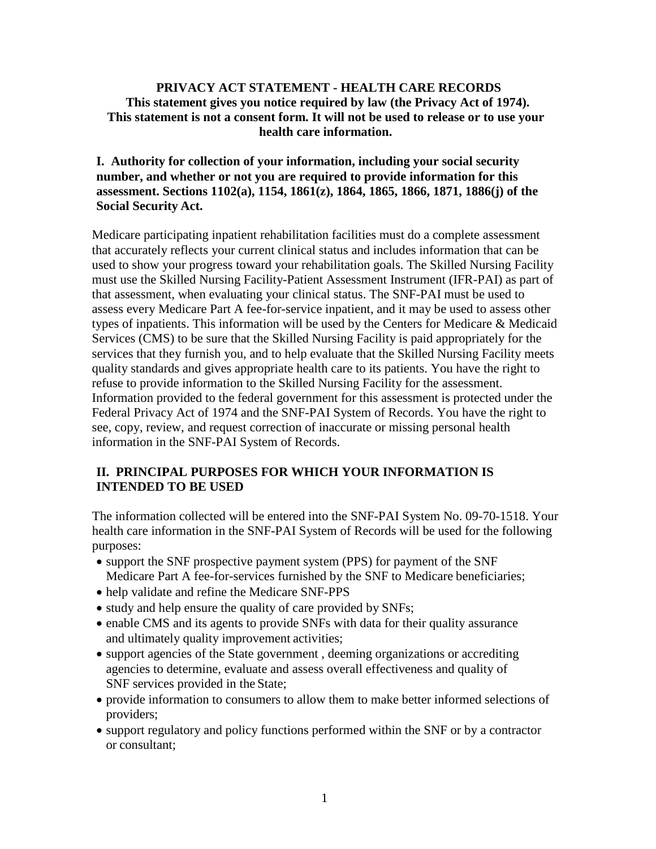#### **PRIVACY ACT STATEMENT - HEALTH CARE RECORDS This statement gives you notice required by law (the Privacy Act of 1974). This statement is not a consent form. It will not be used to release or to use your health care information.**

### **I. Authority for collection of your information, including your social security number, and whether or not you are required to provide information for this assessment. Sections 1102(a), 1154, 1861(z), 1864, 1865, 1866, 1871, 1886(j) of the Social Security Act.**

Medicare participating inpatient rehabilitation facilities must do a complete assessment that accurately reflects your current clinical status and includes information that can be used to show your progress toward your rehabilitation goals. The Skilled Nursing Facility must use the Skilled Nursing Facility-Patient Assessment Instrument (IFR-PAI) as part of that assessment, when evaluating your clinical status. The SNF-PAI must be used to assess every Medicare Part A fee-for-service inpatient, and it may be used to assess other types of inpatients. This information will be used by the Centers for Medicare & Medicaid Services (CMS) to be sure that the Skilled Nursing Facility is paid appropriately for the services that they furnish you, and to help evaluate that the Skilled Nursing Facility meets quality standards and gives appropriate health care to its patients. You have the right to refuse to provide information to the Skilled Nursing Facility for the assessment. Information provided to the federal government for this assessment is protected under the Federal Privacy Act of 1974 and the SNF-PAI System of Records. You have the right to see, copy, review, and request correction of inaccurate or missing personal health information in the SNF-PAI System of Records.

## **II. PRINCIPAL PURPOSES FOR WHICH YOUR INFORMATION IS INTENDED TO BE USED**

The information collected will be entered into the SNF-PAI System No. 09-70-1518. Your health care information in the SNF-PAI System of Records will be used for the following purposes:

- support the SNF prospective payment system (PPS) for payment of the SNF Medicare Part A fee-for-services furnished by the SNF to Medicare beneficiaries;
- help validate and refine the Medicare SNF-PPS
- study and help ensure the quality of care provided by SNFs;
- enable CMS and its agents to provide SNFs with data for their quality assurance and ultimately quality improvement activities;
- support agencies of the State government , deeming organizations or accrediting agencies to determine, evaluate and assess overall effectiveness and quality of SNF services provided in the State;
- provide information to consumers to allow them to make better informed selections of providers;
- support regulatory and policy functions performed within the SNF or by a contractor or consultant;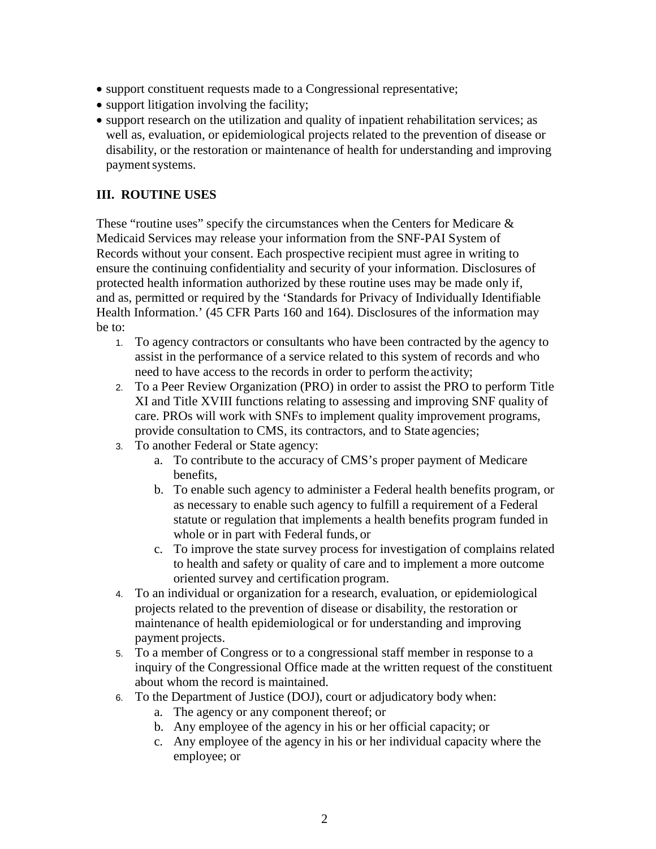- support constituent requests made to a Congressional representative;
- support litigation involving the facility;
- support research on the utilization and quality of inpatient rehabilitation services; as well as, evaluation, or epidemiological projects related to the prevention of disease or disability, or the restoration or maintenance of health for understanding and improving payment systems.

### **III. ROUTINE USES**

These "routine uses" specify the circumstances when the Centers for Medicare  $\&$ Medicaid Services may release your information from the SNF-PAI System of Records without your consent. Each prospective recipient must agree in writing to ensure the continuing confidentiality and security of your information. Disclosures of protected health information authorized by these routine uses may be made only if, and as, permitted or required by the 'Standards for Privacy of Individually Identifiable Health Information.' (45 CFR Parts 160 and 164). Disclosures of the information may be to:

- 1. To agency contractors or consultants who have been contracted by the agency to assist in the performance of a service related to this system of records and who need to have access to the records in order to perform the activity;
- 2. To a Peer Review Organization (PRO) in order to assist the PRO to perform Title XI and Title XVIII functions relating to assessing and improving SNF quality of care. PROs will work with SNFs to implement quality improvement programs, provide consultation to CMS, its contractors, and to State agencies;
- 3. To another Federal or State agency:
	- a. To contribute to the accuracy of CMS's proper payment of Medicare benefits,
	- b. To enable such agency to administer a Federal health benefits program, or as necessary to enable such agency to fulfill a requirement of a Federal statute or regulation that implements a health benefits program funded in whole or in part with Federal funds, or
	- c. To improve the state survey process for investigation of complains related to health and safety or quality of care and to implement a more outcome oriented survey and certification program.
- 4. To an individual or organization for a research, evaluation, or epidemiological projects related to the prevention of disease or disability, the restoration or maintenance of health epidemiological or for understanding and improving payment projects.
- 5. To a member of Congress or to a congressional staff member in response to a inquiry of the Congressional Office made at the written request of the constituent about whom the record is maintained.
- 6. To the Department of Justice (DOJ), court or adjudicatory body when:
	- a. The agency or any component thereof; or
	- b. Any employee of the agency in his or her official capacity; or
	- c. Any employee of the agency in his or her individual capacity where the employee; or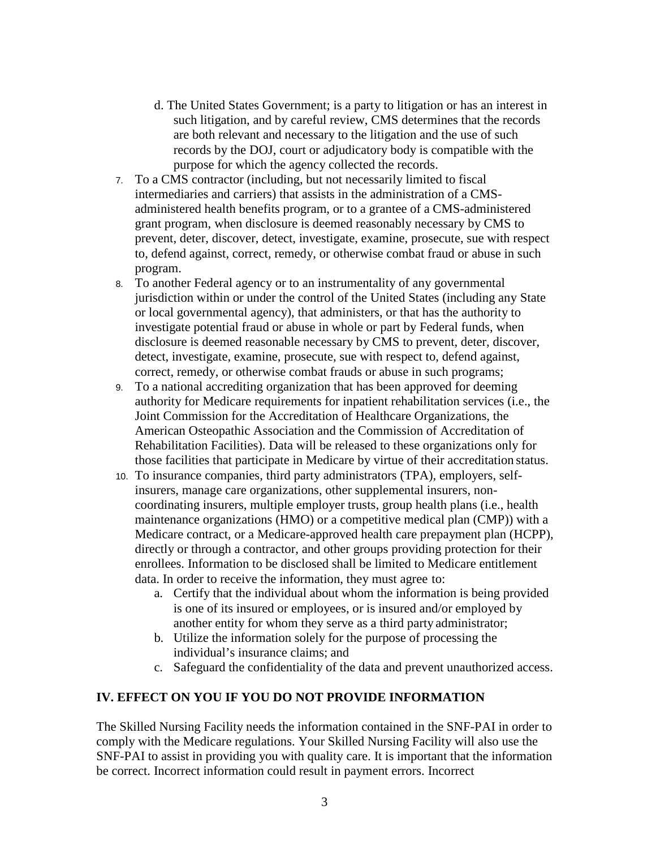- d. The United States Government; is a party to litigation or has an interest in such litigation, and by careful review, CMS determines that the records are both relevant and necessary to the litigation and the use of such records by the DOJ, court or adjudicatory body is compatible with the purpose for which the agency collected the records.
- 7. To a CMS contractor (including, but not necessarily limited to fiscal intermediaries and carriers) that assists in the administration of a CMSadministered health benefits program, or to a grantee of a CMS-administered grant program, when disclosure is deemed reasonably necessary by CMS to prevent, deter, discover, detect, investigate, examine, prosecute, sue with respect to, defend against, correct, remedy, or otherwise combat fraud or abuse in such program.
- 8. To another Federal agency or to an instrumentality of any governmental jurisdiction within or under the control of the United States (including any State or local governmental agency), that administers, or that has the authority to investigate potential fraud or abuse in whole or part by Federal funds, when disclosure is deemed reasonable necessary by CMS to prevent, deter, discover, detect, investigate, examine, prosecute, sue with respect to, defend against, correct, remedy, or otherwise combat frauds or abuse in such programs;
- 9. To a national accrediting organization that has been approved for deeming authority for Medicare requirements for inpatient rehabilitation services (i.e., the Joint Commission for the Accreditation of Healthcare Organizations, the American Osteopathic Association and the Commission of Accreditation of Rehabilitation Facilities). Data will be released to these organizations only for those facilities that participate in Medicare by virtue of their accreditation status.
- 10. To insurance companies, third party administrators (TPA), employers, selfinsurers, manage care organizations, other supplemental insurers, noncoordinating insurers, multiple employer trusts, group health plans (i.e., health maintenance organizations (HMO) or a competitive medical plan (CMP)) with a Medicare contract, or a Medicare-approved health care prepayment plan (HCPP), directly or through a contractor, and other groups providing protection for their enrollees. Information to be disclosed shall be limited to Medicare entitlement data. In order to receive the information, they must agree to:
	- a. Certify that the individual about whom the information is being provided is one of its insured or employees, or is insured and/or employed by another entity for whom they serve as a third party administrator;
	- b. Utilize the information solely for the purpose of processing the individual's insurance claims; and
	- c. Safeguard the confidentiality of the data and prevent unauthorized access.

#### **IV. EFFECT ON YOU IF YOU DO NOT PROVIDE INFORMATION**

The Skilled Nursing Facility needs the information contained in the SNF-PAI in order to comply with the Medicare regulations. Your Skilled Nursing Facility will also use the SNF-PAI to assist in providing you with quality care. It is important that the information be correct. Incorrect information could result in payment errors. Incorrect